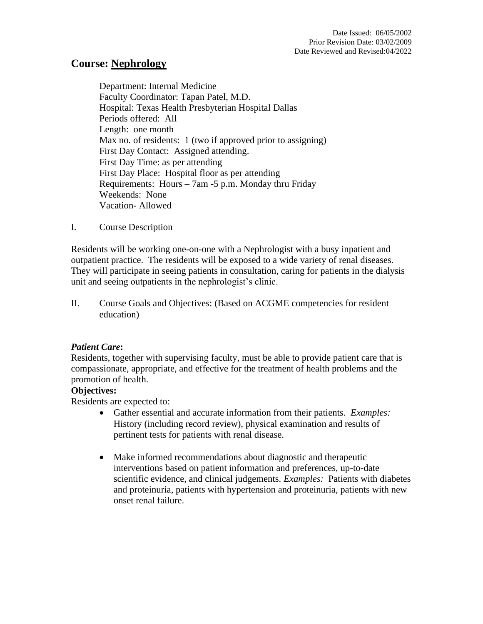# **Course: Nephrology**

Department: Internal Medicine Faculty Coordinator: Tapan Patel, M.D. Hospital: Texas Health Presbyterian Hospital Dallas Periods offered: All Length: one month Max no. of residents: 1 (two if approved prior to assigning) First Day Contact: Assigned attending. First Day Time: as per attending First Day Place: Hospital floor as per attending Requirements: Hours – 7am -5 p.m. Monday thru Friday Weekends: None Vacation- Allowed

I. Course Description

Residents will be working one-on-one with a Nephrologist with a busy inpatient and outpatient practice. The residents will be exposed to a wide variety of renal diseases. They will participate in seeing patients in consultation, caring for patients in the dialysis unit and seeing outpatients in the nephrologist's clinic.

II. Course Goals and Objectives: (Based on ACGME competencies for resident education)

# *Patient Care***:**

Residents, together with supervising faculty, must be able to provide patient care that is compassionate, appropriate, and effective for the treatment of health problems and the promotion of health.

# **Objectives:**

Residents are expected to:

- Gather essential and accurate information from their patients. *Examples:* History (including record review), physical examination and results of pertinent tests for patients with renal disease.
- Make informed recommendations about diagnostic and therapeutic interventions based on patient information and preferences, up-to-date scientific evidence, and clinical judgements. *Examples:* Patients with diabetes and proteinuria, patients with hypertension and proteinuria, patients with new onset renal failure.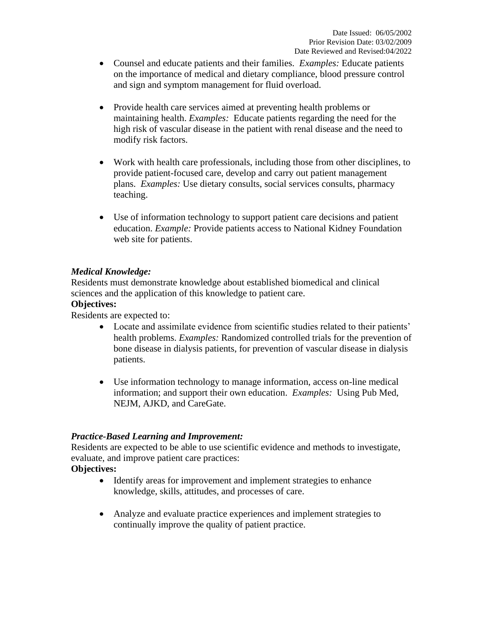- Counsel and educate patients and their families. *Examples:* Educate patients on the importance of medical and dietary compliance, blood pressure control and sign and symptom management for fluid overload.
- Provide health care services aimed at preventing health problems or maintaining health. *Examples:* Educate patients regarding the need for the high risk of vascular disease in the patient with renal disease and the need to modify risk factors.
- Work with health care professionals, including those from other disciplines, to provide patient-focused care, develop and carry out patient management plans. *Examples:* Use dietary consults, social services consults, pharmacy teaching.
- Use of information technology to support patient care decisions and patient education. *Example:* Provide patients access to National Kidney Foundation web site for patients.

# *Medical Knowledge:*

Residents must demonstrate knowledge about established biomedical and clinical sciences and the application of this knowledge to patient care.

### **Objectives:**

Residents are expected to:

- Locate and assimilate evidence from scientific studies related to their patients' health problems. *Examples:* Randomized controlled trials for the prevention of bone disease in dialysis patients, for prevention of vascular disease in dialysis patients.
- Use information technology to manage information, access on-line medical information; and support their own education. *Examples:* Using Pub Med, NEJM, AJKD, and CareGate.

# *Practice-Based Learning and Improvement:*

Residents are expected to be able to use scientific evidence and methods to investigate, evaluate, and improve patient care practices:

**Objectives:**

- Identify areas for improvement and implement strategies to enhance knowledge, skills, attitudes, and processes of care.
- Analyze and evaluate practice experiences and implement strategies to continually improve the quality of patient practice.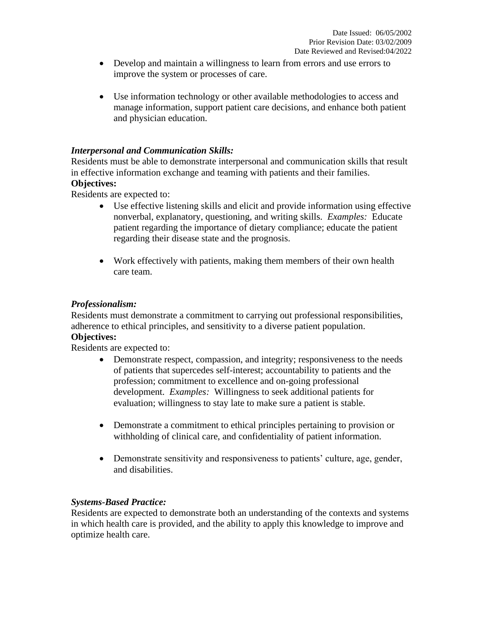- Develop and maintain a willingness to learn from errors and use errors to improve the system or processes of care.
- Use information technology or other available methodologies to access and manage information, support patient care decisions, and enhance both patient and physician education.

### *Interpersonal and Communication Skills:*

Residents must be able to demonstrate interpersonal and communication skills that result in effective information exchange and teaming with patients and their families.

#### **Objectives:**

Residents are expected to:

- Use effective listening skills and elicit and provide information using effective nonverbal, explanatory, questioning, and writing skills. *Examples:* Educate patient regarding the importance of dietary compliance; educate the patient regarding their disease state and the prognosis.
- Work effectively with patients, making them members of their own health care team.

### *Professionalism:*

Residents must demonstrate a commitment to carrying out professional responsibilities, adherence to ethical principles, and sensitivity to a diverse patient population. **Objectives:**

Residents are expected to:

- Demonstrate respect, compassion, and integrity; responsiveness to the needs of patients that supercedes self-interest; accountability to patients and the profession; commitment to excellence and on-going professional development. *Examples:* Willingness to seek additional patients for evaluation; willingness to stay late to make sure a patient is stable.
- Demonstrate a commitment to ethical principles pertaining to provision or withholding of clinical care, and confidentiality of patient information.
- Demonstrate sensitivity and responsiveness to patients' culture, age, gender, and disabilities.

#### *Systems-Based Practice:*

Residents are expected to demonstrate both an understanding of the contexts and systems in which health care is provided, and the ability to apply this knowledge to improve and optimize health care.